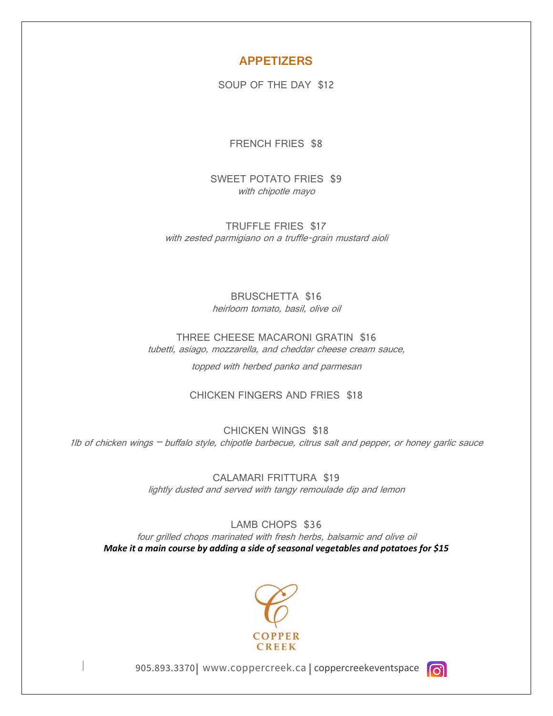### **APPETIZERS**

SOUP OF THE DAY \$12

FRENCH FRIES \$8

SWEET POTATO FRIES \$9 with chipotle mayo

TRUFFLE FRIES \$17 with zested parmigiano on a truffle-grain mustard aioli

> BRUSCHETTA \$16 heirloom tomato, basil, olive oil

THREE CHEESE MACARONI GRATIN \$16 tubetti, asiago, mozzarella, and cheddar cheese cream sauce,

topped with herbed panko and parmesan

### CHICKEN FINGERS AND FRIES \$18

CHICKEN WINGS \$18 1lb of chicken wings – buffalo style, chipotle barbecue, citrus salt and pepper, or honey garlic sauce

> CALAMARI FRITTURA \$19 lightly dusted and served with tangy remoulade dip and lemon

LAMB CHOPS \$36 four grilled chops marinated with fresh herbs, balsamic and olive oil *Make it a main course by adding a side of seasonal vegetables and potatoes for \$15*



 $\overline{\phantom{a}}$ 

905.893.3370 | www.coppercreek.ca | coppercreekeventspace

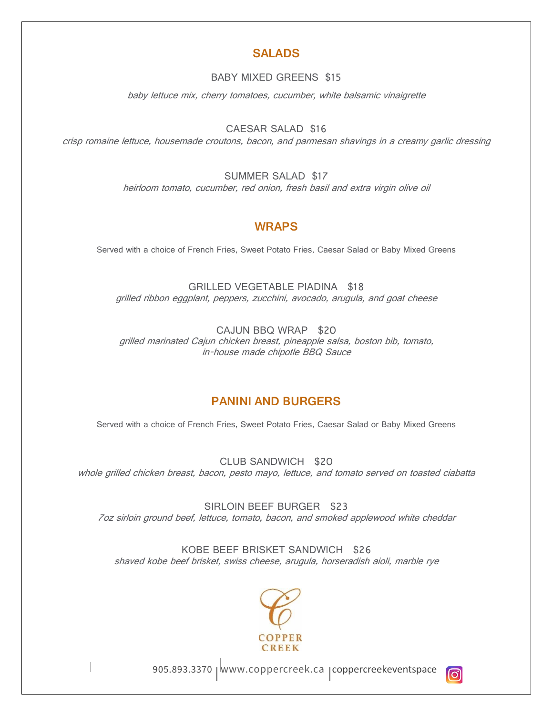## **SALADS**

### BABY MIXED GREENS \$15

baby lettuce mix, cherry tomatoes, cucumber, white balsamic vinaigrette

CAESAR SALAD \$16

crisp romaine lettuce, housemade croutons, bacon, and parmesan shavings in a creamy garlic dressing

SUMMER SALAD \$17

heirloom tomato, cucumber, red onion, fresh basil and extra virgin olive oil

# **WRAPS**

Served with a choice of French Fries, Sweet Potato Fries, Caesar Salad or Baby Mixed Greens

GRILLED VEGETABLE PIADINA \$18 grilled ribbon eggplant, peppers, zucchini, avocado, arugula, and goat cheese

CAJUN BBQ WRAP \$20 grilled marinated Cajun chicken breast, pineapple salsa, boston bib, tomato, in-house made chipotle BBQ Sauce

## **PANINI AND BURGERS**

Served with a choice of French Fries, Sweet Potato Fries, Caesar Salad or Baby Mixed Greens

CLUB SANDWICH \$20 whole grilled chicken breast, bacon, pesto mayo, lettuce, and tomato served on toasted ciabatta

SIRLOIN BEEF BURGER \$23 7oz sirloin ground beef, lettuce, tomato, bacon, and smoked applewood white cheddar

KOBE BEEF BRISKET SANDWICH \$26 shaved kobe beef brisket, swiss cheese, arugula, horseradish aioli, marble rye



 $\overline{\phantom{a}}$ 

905.893.3370 | www.coppercreek.ca | coppercreekeventspace